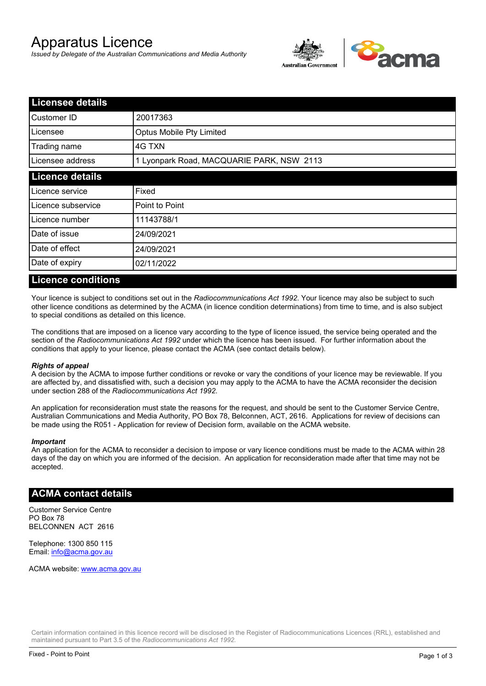# Apparatus Licence

*Issued by Delegate of the Australian Communications and Media Authority*



| <b>Licensee details</b> |                                           |  |
|-------------------------|-------------------------------------------|--|
| Customer ID             | 20017363                                  |  |
| Licensee                | Optus Mobile Pty Limited                  |  |
| Trading name            | 4G TXN                                    |  |
| Licensee address        | 1 Lyonpark Road, MACQUARIE PARK, NSW 2113 |  |
| <b>Licence details</b>  |                                           |  |
| Licence service         | Fixed                                     |  |
| Licence subservice      | Point to Point                            |  |
| Licence number          | 11143788/1                                |  |
| Date of issue           | 24/09/2021                                |  |
| Date of effect          | 24/09/2021                                |  |
| Date of expiry          | 02/11/2022                                |  |

#### **Licence conditions**

Your licence is subject to conditions set out in the *Radiocommunications Act 1992*. Your licence may also be subject to such other licence conditions as determined by the ACMA (in licence condition determinations) from time to time, and is also subject to special conditions as detailed on this licence.

The conditions that are imposed on a licence vary according to the type of licence issued, the service being operated and the section of the *Radiocommunications Act 1992* under which the licence has been issued. For further information about the conditions that apply to your licence, please contact the ACMA (see contact details below).

#### *Rights of appeal*

A decision by the ACMA to impose further conditions or revoke or vary the conditions of your licence may be reviewable. If you are affected by, and dissatisfied with, such a decision you may apply to the ACMA to have the ACMA reconsider the decision under section 288 of the *Radiocommunications Act 1992*.

An application for reconsideration must state the reasons for the request, and should be sent to the Customer Service Centre, Australian Communications and Media Authority, PO Box 78, Belconnen, ACT, 2616. Applications for review of decisions can be made using the R051 - Application for review of Decision form, available on the ACMA website.

#### *Important*

An application for the ACMA to reconsider a decision to impose or vary licence conditions must be made to the ACMA within 28 days of the day on which you are informed of the decision. An application for reconsideration made after that time may not be accepted.

### **ACMA contact details**

Customer Service Centre PO Box 78 BELCONNEN ACT 2616

Telephone: 1300 850 115 Email: info@acma.gov.au

ACMA website: www.acma.gov.au

Certain information contained in this licence record will be disclosed in the Register of Radiocommunications Licences (RRL), established and maintained pursuant to Part 3.5 of the *Radiocommunications Act 1992.*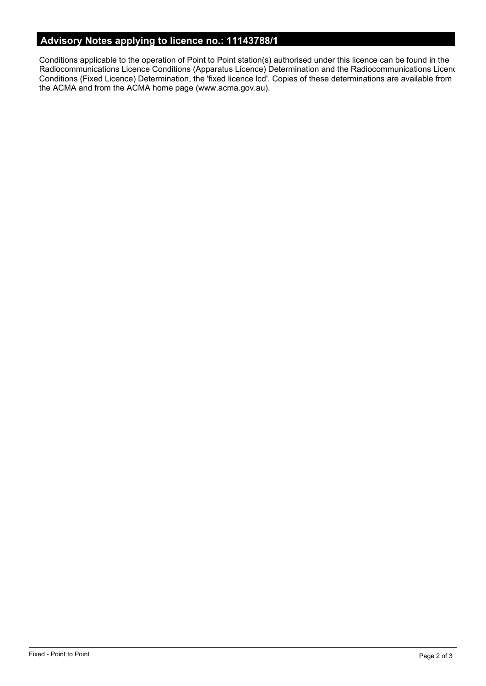# **Advisory Notes applying to licence no.: 11143788/1**

Conditions applicable to the operation of Point to Point station(s) authorised under this licence can be found in the Radiocommunications Licence Conditions (Apparatus Licence) Determination and the Radiocommunications Licence Conditions (Fixed Licence) Determination, the 'fixed licence lcd'. Copies of these determinations are available from the ACMA and from the ACMA home page (www.acma.gov.au).